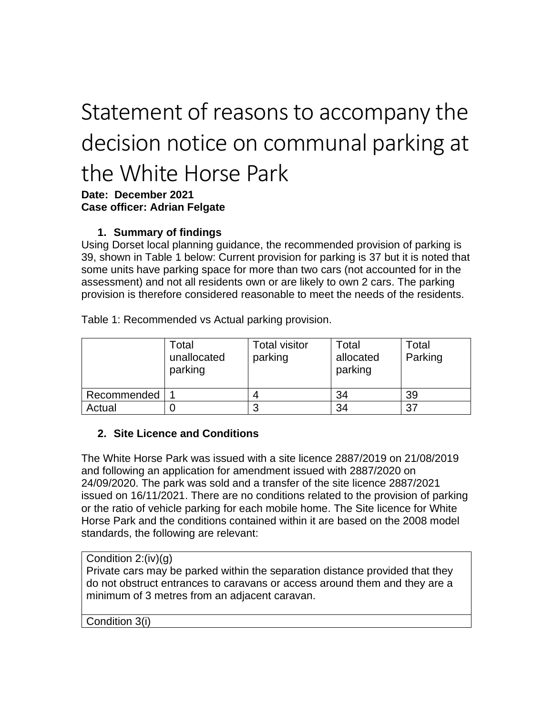# Statement of reasons to accompany the decision notice on communal parking at the White Horse Park

### **Date: December 2021 Case officer: Adrian Felgate**

# **1. Summary of findings**

Using Dorset local planning guidance, the recommended provision of parking is 39, shown in Table 1 below: Current provision for parking is 37 but it is noted that some units have parking space for more than two cars (not accounted for in the assessment) and not all residents own or are likely to own 2 cars. The parking provision is therefore considered reasonable to meet the needs of the residents.

Table 1: Recommended vs Actual parking provision.

|             | Total<br>unallocated<br>parking | <b>Total visitor</b><br>parking | Total<br>allocated<br>parking | Total<br>Parking |
|-------------|---------------------------------|---------------------------------|-------------------------------|------------------|
| Recommended |                                 |                                 | 34                            | 39               |
| Actual      |                                 | ◠                               | 34                            | 37               |

#### **2. Site Licence and Conditions**

The White Horse Park was issued with a site licence 2887/2019 on 21/08/2019 and following an application for amendment issued with 2887/2020 on 24/09/2020. The park was sold and a transfer of the site licence 2887/2021 issued on 16/11/2021. There are no conditions related to the provision of parking or the ratio of vehicle parking for each mobile home. The Site licence for White Horse Park and the conditions contained within it are based on the 2008 model standards, the following are relevant:

#### Condition 2:(iv)(g)

Private cars may be parked within the separation distance provided that they do not obstruct entrances to caravans or access around them and they are a minimum of 3 metres from an adjacent caravan.

#### Condition 3(i)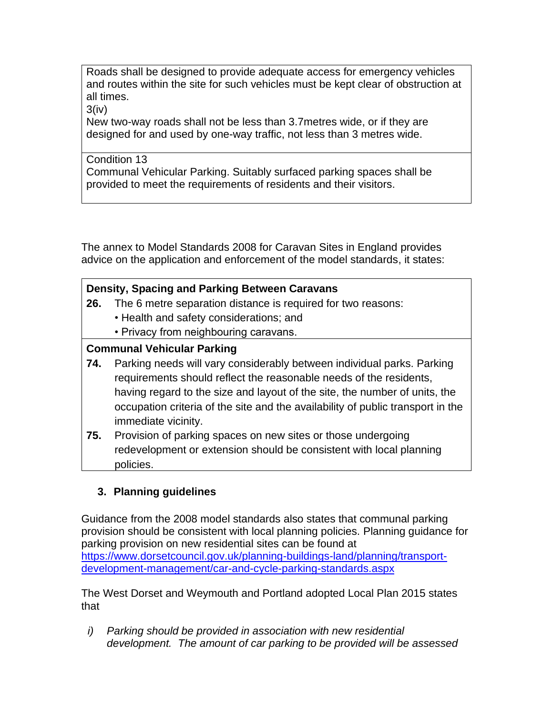Roads shall be designed to provide adequate access for emergency vehicles and routes within the site for such vehicles must be kept clear of obstruction at all times.

3(iv)

New two-way roads shall not be less than 3.7metres wide, or if they are designed for and used by one-way traffic, not less than 3 metres wide.

Condition 13 Communal Vehicular Parking. Suitably surfaced parking spaces shall be provided to meet the requirements of residents and their visitors.

The annex to Model Standards 2008 for Caravan Sites in England provides advice on the application and enforcement of the model standards, it states:

## **Density, Spacing and Parking Between Caravans**

- **26.** The 6 metre separation distance is required for two reasons:
	- Health and safety considerations; and
	- Privacy from neighbouring caravans.

# **Communal Vehicular Parking**

- **74.** Parking needs will vary considerably between individual parks. Parking requirements should reflect the reasonable needs of the residents, having regard to the size and layout of the site, the number of units, the occupation criteria of the site and the availability of public transport in the immediate vicinity.
- **75.** Provision of parking spaces on new sites or those undergoing redevelopment or extension should be consistent with local planning policies.

# **3. Planning guidelines**

Guidance from the 2008 model standards also states that communal parking provision should be consistent with local planning policies. Planning guidance for parking provision on new residential sites can be found at [https://www.dorsetcouncil.gov.uk/planning-buildings-land/planning/transport](https://www.dorsetcouncil.gov.uk/planning-buildings-land/planning/transport-development-management/car-and-cycle-parking-standards.aspx)[development-management/car-and-cycle-parking-standards.aspx](https://www.dorsetcouncil.gov.uk/planning-buildings-land/planning/transport-development-management/car-and-cycle-parking-standards.aspx)

The West Dorset and Weymouth and Portland adopted Local Plan 2015 states that

*i) Parking should be provided in association with new residential development. The amount of car parking to be provided will be assessed*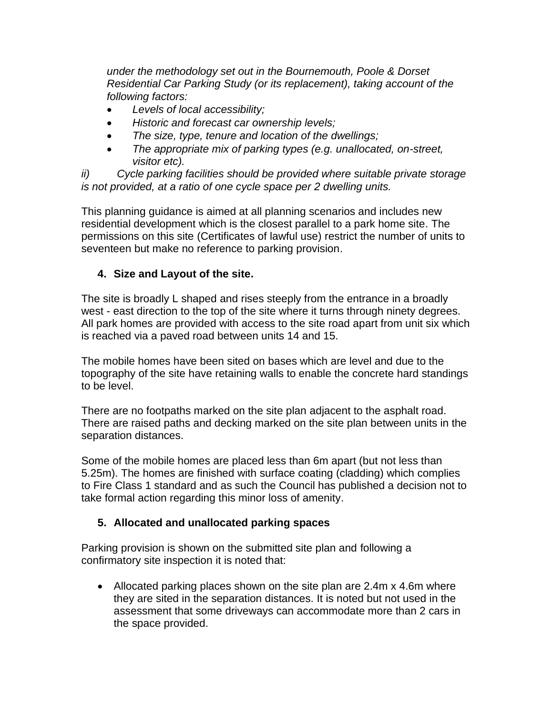*under the methodology set out in the Bournemouth, Poole & Dorset Residential Car Parking Study (or its replacement), taking account of the following factors:*

- *Levels of local accessibility;*
- *Historic and forecast car ownership levels;*
- *The size, type, tenure and location of the dwellings;*
- *The appropriate mix of parking types (e.g. unallocated, on-street, visitor etc).*

*ii) Cycle parking facilities should be provided where suitable private storage is not provided, at a ratio of one cycle space per 2 dwelling units.* 

This planning guidance is aimed at all planning scenarios and includes new residential development which is the closest parallel to a park home site. The permissions on this site (Certificates of lawful use) restrict the number of units to seventeen but make no reference to parking provision.

#### **4. Size and Layout of the site.**

The site is broadly L shaped and rises steeply from the entrance in a broadly west - east direction to the top of the site where it turns through ninety degrees. All park homes are provided with access to the site road apart from unit six which is reached via a paved road between units 14 and 15.

The mobile homes have been sited on bases which are level and due to the topography of the site have retaining walls to enable the concrete hard standings to be level.

There are no footpaths marked on the site plan adjacent to the asphalt road. There are raised paths and decking marked on the site plan between units in the separation distances.

Some of the mobile homes are placed less than 6m apart (but not less than 5.25m). The homes are finished with surface coating (cladding) which complies to Fire Class 1 standard and as such the Council has published a decision not to take formal action regarding this minor loss of amenity.

#### **5. Allocated and unallocated parking spaces**

Parking provision is shown on the submitted site plan and following a confirmatory site inspection it is noted that:

• Allocated parking places shown on the site plan are 2.4m x 4.6m where they are sited in the separation distances. It is noted but not used in the assessment that some driveways can accommodate more than 2 cars in the space provided.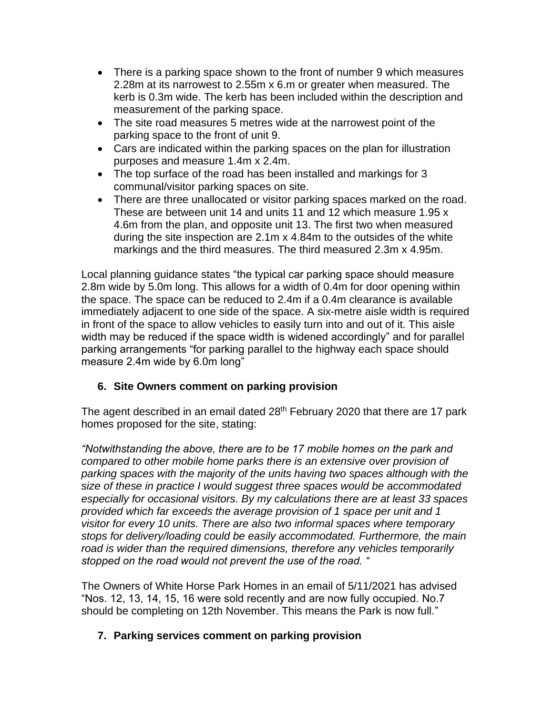- There is a parking space shown to the front of number 9 which measures 2.28m at its narrowest to 2.55m x 6.m or greater when measured. The kerb is 0.3m wide. The kerb has been included within the description and measurement of the parking space.
- The site road measures 5 metres wide at the narrowest point of the parking space to the front of unit 9.
- Cars are indicated within the parking spaces on the plan for illustration purposes and measure 1.4m x 2.4m.
- The top surface of the road has been installed and markings for 3 communal/visitor parking spaces on site.
- There are three unallocated or visitor parking spaces marked on the road. These are between unit 14 and units 11 and 12 which measure 1.95 x 4.6m from the plan, and opposite unit 13. The first two when measured during the site inspection are 2.1m x 4.84m to the outsides of the white markings and the third measures. The third measured 2.3m x 4.95m.

Local planning guidance states "the typical car parking space should measure 2.8m wide by 5.0m long. This allows for a width of 0.4m for door opening within the space. The space can be reduced to 2.4m if a 0.4m clearance is available immediately adjacent to one side of the space. A six-metre aisle width is required in front of the space to allow vehicles to easily turn into and out of it. This aisle width may be reduced if the space width is widened accordingly" and for parallel parking arrangements "for parking parallel to the highway each space should measure 2.4m wide by 6.0m long"

# **6. Site Owners comment on parking provision**

The agent described in an email dated 28<sup>th</sup> February 2020 that there are 17 park homes proposed for the site, stating:

*"Notwithstanding the above, there are to be 17 mobile homes on the park and compared to other mobile home parks there is an extensive over provision of parking spaces with the majority of the units having two spaces although with the size of these in practice I would suggest three spaces would be accommodated especially for occasional visitors. By my calculations there are at least 33 spaces provided which far exceeds the average provision of 1 space per unit and 1 visitor for every 10 units. There are also two informal spaces where temporary stops for delivery/loading could be easily accommodated. Furthermore, the main road is wider than the required dimensions, therefore any vehicles temporarily stopped on the road would not prevent the use of the road. "*

The Owners of White Horse Park Homes in an email of 5/11/2021 has advised "Nos. 12, 13, 14, 15, 16 were sold recently and are now fully occupied. No.7 should be completing on 12th November. This means the Park is now full."

#### **7. Parking services comment on parking provision**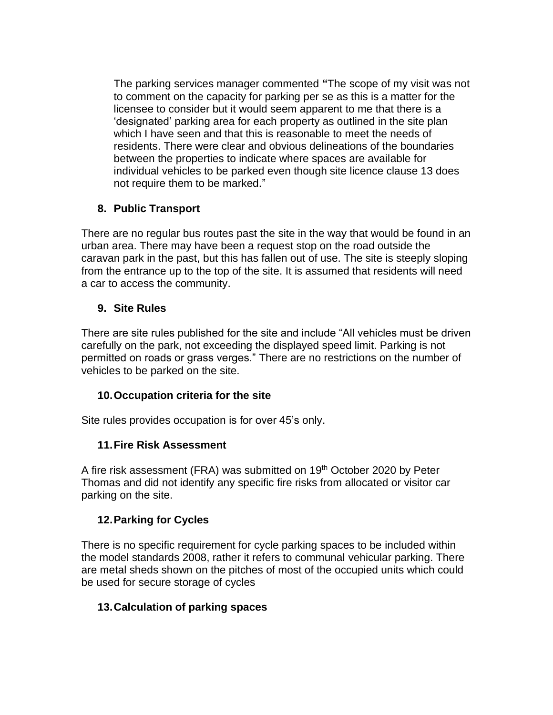The parking services manager commented **"**The scope of my visit was not to comment on the capacity for parking per se as this is a matter for the licensee to consider but it would seem apparent to me that there is a 'designated' parking area for each property as outlined in the site plan which I have seen and that this is reasonable to meet the needs of residents. There were clear and obvious delineations of the boundaries between the properties to indicate where spaces are available for individual vehicles to be parked even though site licence clause 13 does not require them to be marked."

## **8. Public Transport**

There are no regular bus routes past the site in the way that would be found in an urban area. There may have been a request stop on the road outside the caravan park in the past, but this has fallen out of use. The site is steeply sloping from the entrance up to the top of the site. It is assumed that residents will need a car to access the community.

## **9. Site Rules**

There are site rules published for the site and include "All vehicles must be driven carefully on the park, not exceeding the displayed speed limit. Parking is not permitted on roads or grass verges." There are no restrictions on the number of vehicles to be parked on the site.

# **10.Occupation criteria for the site**

Site rules provides occupation is for over 45's only.

# **11.Fire Risk Assessment**

A fire risk assessment (FRA) was submitted on 19<sup>th</sup> October 2020 by Peter Thomas and did not identify any specific fire risks from allocated or visitor car parking on the site.

# **12.Parking for Cycles**

There is no specific requirement for cycle parking spaces to be included within the model standards 2008, rather it refers to communal vehicular parking. There are metal sheds shown on the pitches of most of the occupied units which could be used for secure storage of cycles

# **13.Calculation of parking spaces**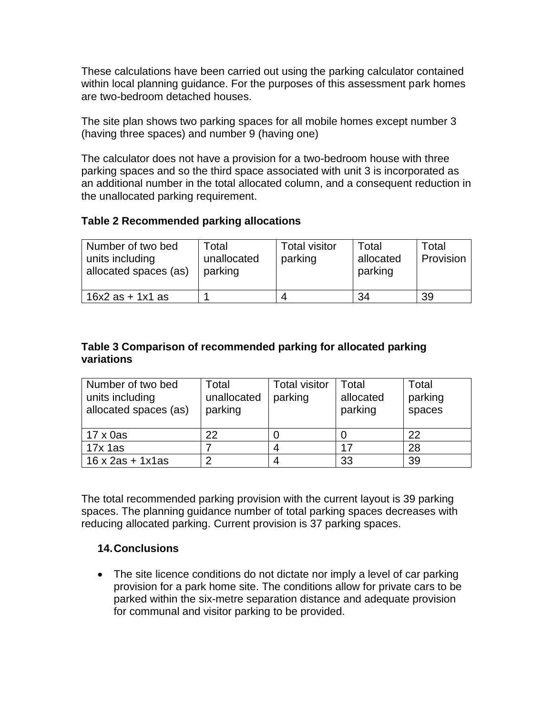These calculations have been carried out using the [parking calculator](https://www.dorsetcouncil.gov.uk/planning-buildings-land/planning-policy/dorset-county-council/pdfs/planning/transport-dm/parking-calculator.xls) contained within local planning guidance. For the purposes of this assessment park homes are two-bedroom detached houses.

The site plan shows two parking spaces for all mobile homes except number 3 (having three spaces) and number 9 (having one)

The calculator does not have a provision for a two-bedroom house with three parking spaces and so the third space associated with unit 3 is incorporated as an additional number in the total allocated column, and a consequent reduction in the unallocated parking requirement.

#### **Table 2 Recommended parking allocations**

| Number of two bed<br>units including<br>allocated spaces (as) | Total<br>unallocated<br>parking | <b>Total visitor</b><br>parking | Total<br>allocated<br>parking | Total<br>Provision |
|---------------------------------------------------------------|---------------------------------|---------------------------------|-------------------------------|--------------------|
| $16x2$ as $+ 1x1$ as                                          |                                 |                                 | 34                            | 39                 |

#### **Table 3 Comparison of recommended parking for allocated parking variations**

| Number of two bed       | Total       | <b>Total visitor</b> | Total     | Total   |
|-------------------------|-------------|----------------------|-----------|---------|
| units including         | unallocated | parking              | allocated | parking |
| allocated spaces (as)   | parking     |                      | parking   | spaces  |
|                         |             |                      |           |         |
| $17 \times 0$ as        | 22          |                      |           | 22      |
| $17x$ 1as               |             |                      | 17        | 28      |
| $16 \times 2as + 1x1as$ | ົ           |                      | 33        | 39      |

The total recommended parking provision with the current layout is 39 parking spaces. The planning guidance number of total parking spaces decreases with reducing allocated parking. Current provision is 37 parking spaces.

#### **14.Conclusions**

• The site licence conditions do not dictate nor imply a level of car parking provision for a park home site. The conditions allow for private cars to be parked within the six-metre separation distance and adequate provision for communal and visitor parking to be provided.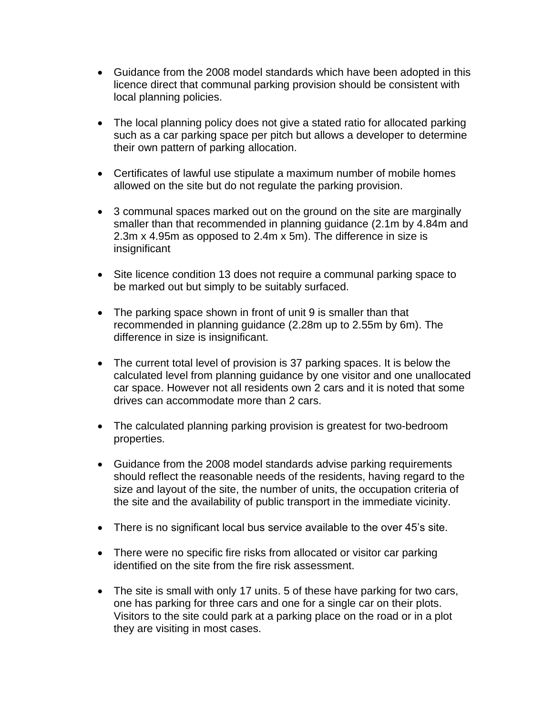- Guidance from the 2008 model standards which have been adopted in this licence direct that communal parking provision should be consistent with local planning policies.
- The local planning policy does not give a stated ratio for allocated parking such as a car parking space per pitch but allows a developer to determine their own pattern of parking allocation.
- Certificates of lawful use stipulate a maximum number of mobile homes allowed on the site but do not regulate the parking provision.
- 3 communal spaces marked out on the ground on the site are marginally smaller than that recommended in planning guidance (2.1m by 4.84m and 2.3m x 4.95m as opposed to 2.4m x 5m). The difference in size is insignificant
- Site licence condition 13 does not require a communal parking space to be marked out but simply to be suitably surfaced.
- The parking space shown in front of unit 9 is smaller than that recommended in planning guidance (2.28m up to 2.55m by 6m). The difference in size is insignificant.
- The current total level of provision is 37 parking spaces. It is below the calculated level from planning guidance by one visitor and one unallocated car space. However not all residents own 2 cars and it is noted that some drives can accommodate more than 2 cars.
- The calculated planning parking provision is greatest for two-bedroom properties.
- Guidance from the 2008 model standards advise parking requirements should reflect the reasonable needs of the residents, having regard to the size and layout of the site, the number of units, the occupation criteria of the site and the availability of public transport in the immediate vicinity.
- There is no significant local bus service available to the over 45's site.
- There were no specific fire risks from allocated or visitor car parking identified on the site from the fire risk assessment.
- The site is small with only 17 units. 5 of these have parking for two cars, one has parking for three cars and one for a single car on their plots. Visitors to the site could park at a parking place on the road or in a plot they are visiting in most cases.